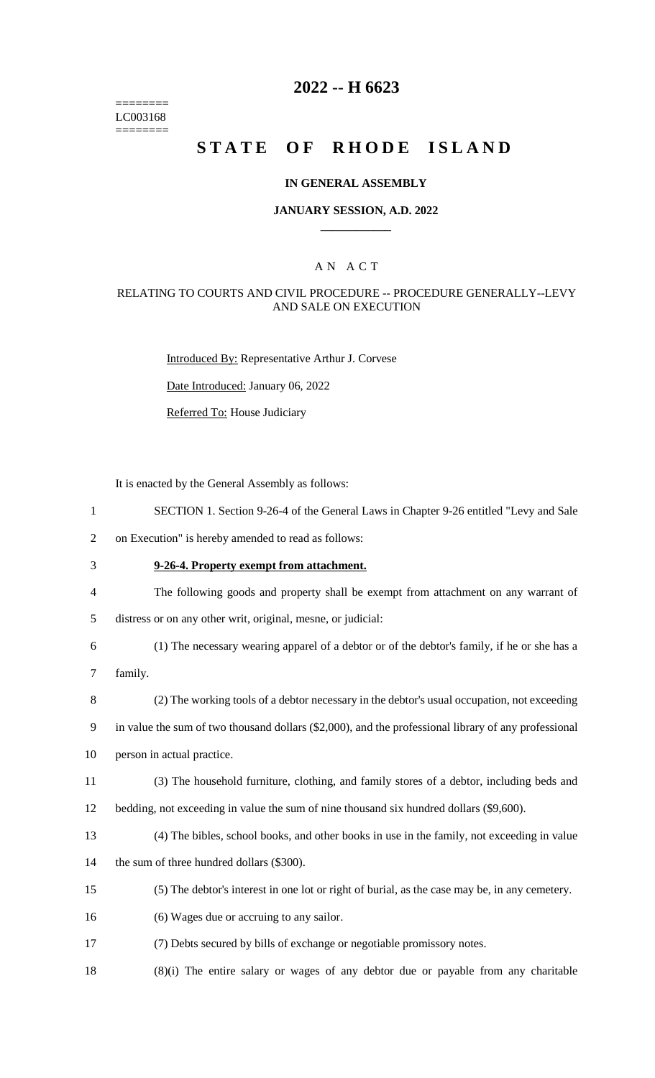======== LC003168 ========

# **2022 -- H 6623**

# **STATE OF RHODE ISLAND**

### **IN GENERAL ASSEMBLY**

### **JANUARY SESSION, A.D. 2022 \_\_\_\_\_\_\_\_\_\_\_\_**

### A N A C T

### RELATING TO COURTS AND CIVIL PROCEDURE -- PROCEDURE GENERALLY--LEVY AND SALE ON EXECUTION

Introduced By: Representative Arthur J. Corvese

Date Introduced: January 06, 2022

Referred To: House Judiciary

It is enacted by the General Assembly as follows:

- 1 SECTION 1. Section 9-26-4 of the General Laws in Chapter 9-26 entitled "Levy and Sale
- 2 on Execution" is hereby amended to read as follows:
- 3 **9-26-4. Property exempt from attachment.**
- 4 The following goods and property shall be exempt from attachment on any warrant of
- 5 distress or on any other writ, original, mesne, or judicial:
- 6 (1) The necessary wearing apparel of a debtor or of the debtor's family, if he or she has a
- 7 family.
- 8 (2) The working tools of a debtor necessary in the debtor's usual occupation, not exceeding

9 in value the sum of two thousand dollars (\$2,000), and the professional library of any professional

10 person in actual practice.

- 11 (3) The household furniture, clothing, and family stores of a debtor, including beds and
- 12 bedding, not exceeding in value the sum of nine thousand six hundred dollars (\$9,600).
- 13 (4) The bibles, school books, and other books in use in the family, not exceeding in value
- 14 the sum of three hundred dollars (\$300).
- 15 (5) The debtor's interest in one lot or right of burial, as the case may be, in any cemetery.
- 16 (6) Wages due or accruing to any sailor.
- 17 (7) Debts secured by bills of exchange or negotiable promissory notes.
- 18 (8)(i) The entire salary or wages of any debtor due or payable from any charitable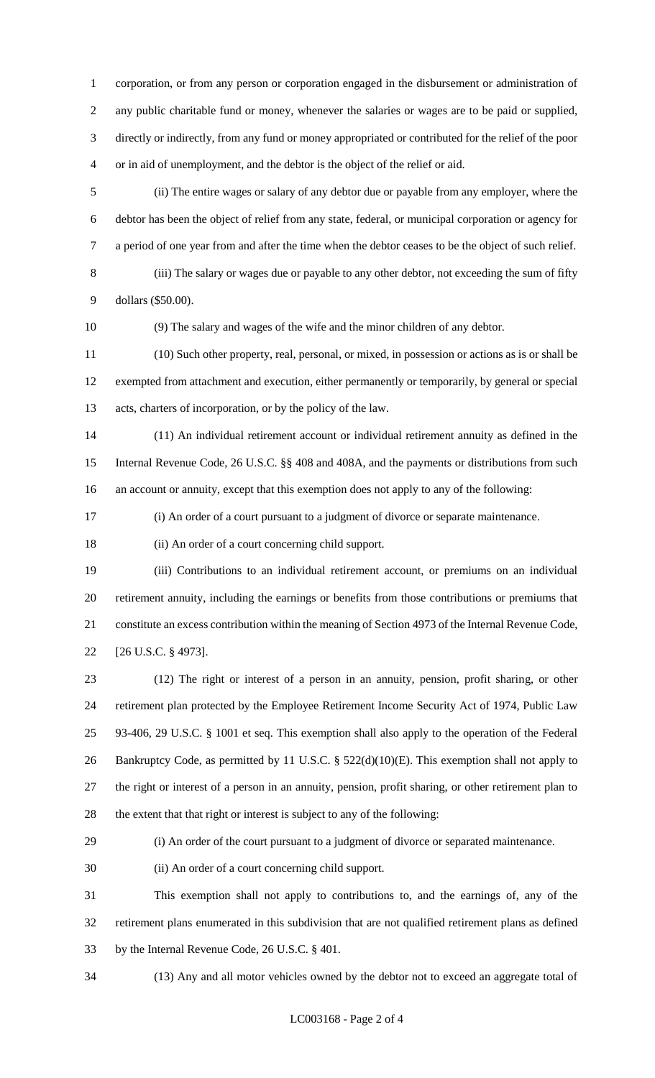corporation, or from any person or corporation engaged in the disbursement or administration of any public charitable fund or money, whenever the salaries or wages are to be paid or supplied, directly or indirectly, from any fund or money appropriated or contributed for the relief of the poor or in aid of unemployment, and the debtor is the object of the relief or aid.

 (ii) The entire wages or salary of any debtor due or payable from any employer, where the debtor has been the object of relief from any state, federal, or municipal corporation or agency for a period of one year from and after the time when the debtor ceases to be the object of such relief.

 (iii) The salary or wages due or payable to any other debtor, not exceeding the sum of fifty dollars (\$50.00).

(9) The salary and wages of the wife and the minor children of any debtor.

 (10) Such other property, real, personal, or mixed, in possession or actions as is or shall be exempted from attachment and execution, either permanently or temporarily, by general or special acts, charters of incorporation, or by the policy of the law.

 (11) An individual retirement account or individual retirement annuity as defined in the Internal Revenue Code, 26 U.S.C. §§ 408 and 408A, and the payments or distributions from such an account or annuity, except that this exemption does not apply to any of the following:

(i) An order of a court pursuant to a judgment of divorce or separate maintenance.

(ii) An order of a court concerning child support.

 (iii) Contributions to an individual retirement account, or premiums on an individual retirement annuity, including the earnings or benefits from those contributions or premiums that constitute an excess contribution within the meaning of Section 4973 of the Internal Revenue Code, [26 U.S.C. § 4973].

 (12) The right or interest of a person in an annuity, pension, profit sharing, or other retirement plan protected by the Employee Retirement Income Security Act of 1974, Public Law 93-406, 29 U.S.C. § 1001 et seq. This exemption shall also apply to the operation of the Federal 26 Bankruptcy Code, as permitted by 11 U.S.C. § 522(d)(10)(E). This exemption shall not apply to the right or interest of a person in an annuity, pension, profit sharing, or other retirement plan to the extent that that right or interest is subject to any of the following:

(i) An order of the court pursuant to a judgment of divorce or separated maintenance.

(ii) An order of a court concerning child support.

 This exemption shall not apply to contributions to, and the earnings of, any of the retirement plans enumerated in this subdivision that are not qualified retirement plans as defined by the Internal Revenue Code, 26 U.S.C. § 401.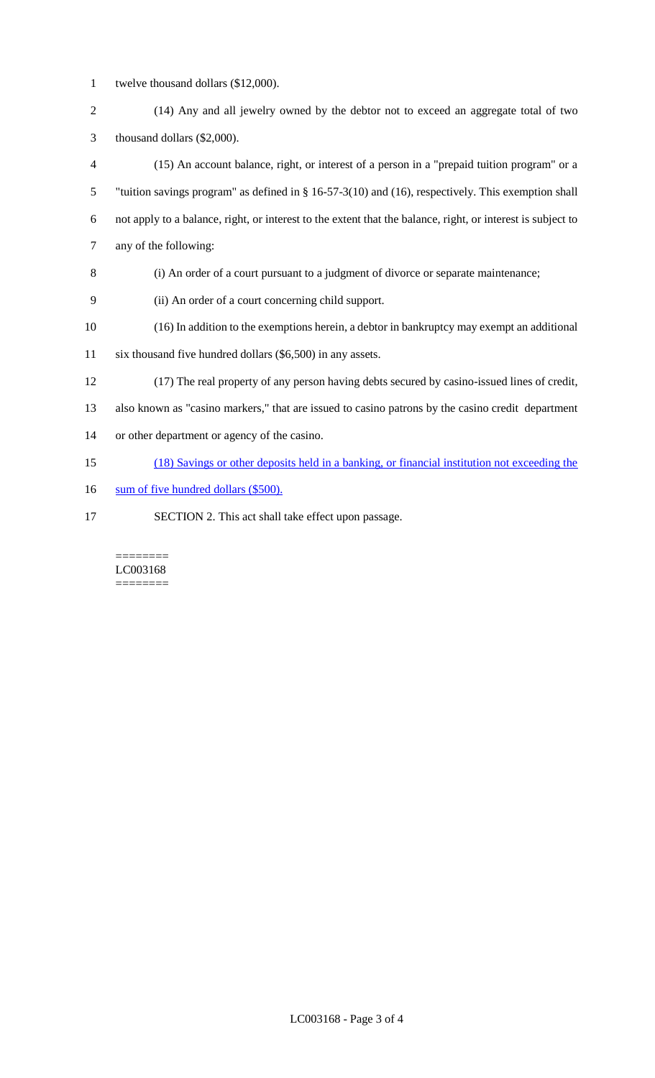- twelve thousand dollars (\$12,000).
- (14) Any and all jewelry owned by the debtor not to exceed an aggregate total of two thousand dollars (\$2,000).
- (15) An account balance, right, or interest of a person in a "prepaid tuition program" or a "tuition savings program" as defined in § 16-57-3(10) and (16), respectively. This exemption shall not apply to a balance, right, or interest to the extent that the balance, right, or interest is subject to any of the following:
- (i) An order of a court pursuant to a judgment of divorce or separate maintenance;
- (ii) An order of a court concerning child support.
- (16) In addition to the exemptions herein, a debtor in bankruptcy may exempt an additional
- six thousand five hundred dollars (\$6,500) in any assets.
- (17) The real property of any person having debts secured by casino-issued lines of credit,

also known as "casino markers," that are issued to casino patrons by the casino credit department

- or other department or agency of the casino.
- (18) Savings or other deposits held in a banking, or financial institution not exceeding the
- 16 sum of five hundred dollars (\$500).
- SECTION 2. This act shall take effect upon passage.

#### ======== LC003168 ========